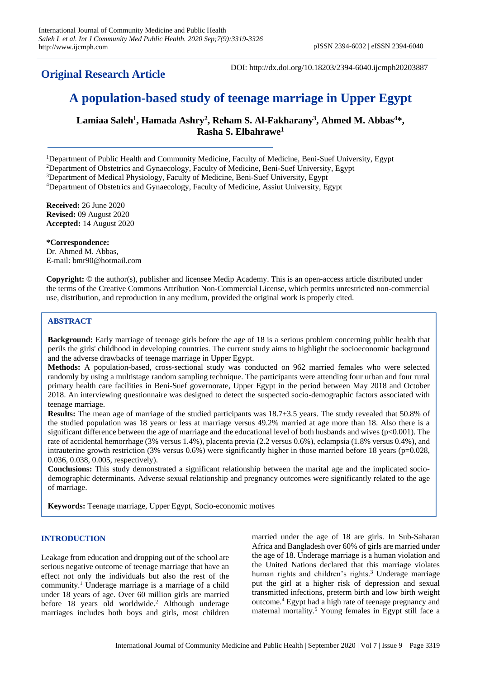## **Original Research Article**

DOI: http://dx.doi.org/10.18203/2394-6040.ijcmph20203887

# **A population-based study of teenage marriage in Upper Egypt**

**Lamiaa Saleh<sup>1</sup> , Hamada Ashry<sup>2</sup> , Reham S. Al-Fakharany<sup>3</sup> , Ahmed M. Abbas<sup>4</sup>\*, Rasha S. Elbahrawe<sup>1</sup>**

Department of Public Health and Community Medicine, Faculty of Medicine, Beni-Suef University, Egypt Department of Obstetrics and Gynaecology, Faculty of Medicine, Beni-Suef University, Egypt Department of Medical Physiology, Faculty of Medicine, Beni-Suef University, Egypt Department of Obstetrics and Gynaecology, Faculty of Medicine, Assiut University, Egypt

**Received:** 26 June 2020 **Revised:** 09 August 2020 **Accepted:** 14 August 2020

**\*Correspondence:** Dr. Ahmed M. Abbas, E-mail: bmr90@hotmail.com

**Copyright:** © the author(s), publisher and licensee Medip Academy. This is an open-access article distributed under the terms of the Creative Commons Attribution Non-Commercial License, which permits unrestricted non-commercial use, distribution, and reproduction in any medium, provided the original work is properly cited.

## **ABSTRACT**

**Background:** Early marriage of teenage girls before the age of 18 is a serious problem concerning public health that perils the girls' childhood in developing countries. The current study aims to highlight the socioeconomic background and the adverse drawbacks of teenage marriage in Upper Egypt.

**Methods:** A population-based, cross-sectional study was conducted on 962 married females who were selected randomly by using a multistage random sampling technique. The participants were attending four urban and four rural primary health care facilities in Beni-Suef governorate, Upper Egypt in the period between May 2018 and October 2018. An interviewing questionnaire was designed to detect the suspected socio-demographic factors associated with teenage marriage.

**Results:** The mean age of marriage of the studied participants was 18.7±3.5 years. The study revealed that 50.8% of the studied population was 18 years or less at marriage versus 49.2% married at age more than 18. Also there is a significant difference between the age of marriage and the educational level of both husbands and wives  $(p<0.001)$ . The rate of accidental hemorrhage (3% versus 1.4%), placenta previa (2.2 versus 0.6%), eclampsia (1.8% versus 0.4%), and intrauterine growth restriction  $(3\%$  versus  $0.6\%)$  were significantly higher in those married before 18 years (p=0.028, 0.036, 0.038, 0.005, respectively).

**Conclusions:** This study demonstrated a significant relationship between the marital age and the implicated sociodemographic determinants. Adverse sexual relationship and pregnancy outcomes were significantly related to the age of marriage.

**Keywords:** Teenage marriage, Upper Egypt, Socio-economic motives

## **INTRODUCTION**

Leakage from education and dropping out of the school are serious negative outcome of teenage marriage that have an effect not only the individuals but also the rest of the community.<sup>1</sup> Underage marriage is a marriage of a child under 18 years of age. Over 60 million girls are married before 18 years old worldwide.<sup>2</sup> Although underage marriages includes both boys and girls, most children married under the age of 18 are girls. In Sub-Saharan Africa and Bangladesh over 60% of girls are married under the age of 18. Underage marriage is a human violation and the United Nations declared that this marriage violates human rights and children's rights.<sup>3</sup> Underage marriage put the girl at a higher risk of depression and sexual transmitted infections, preterm birth and low birth weight outcome.<sup>4</sup> Egypt had a high rate of teenage pregnancy and maternal mortality.<sup>5</sup> Young females in Egypt still face a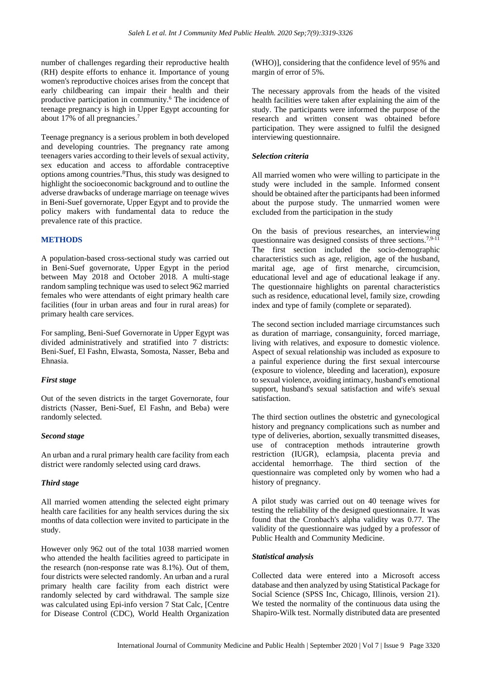number of challenges regarding their reproductive health (RH) despite efforts to enhance it. Importance of young women's reproductive choices arises from the concept that early childbearing can impair their health and their productive participation in community.<sup>6</sup> The incidence of teenage pregnancy is high in Upper Egypt accounting for about 17% of all pregnancies.<sup>7</sup>

Teenage pregnancy is a serious problem in both developed and developing countries. The pregnancy rate among teenagers varies according to their levels of sexual activity, sex education and access to affordable contraceptive options among countries.<sup>8</sup>Thus, this study was designed to highlight the socioeconomic background and to outline the adverse drawbacks of underage marriage on teenage wives in Beni-Suef governorate, Upper Egypt and to provide the policy makers with fundamental data to reduce the prevalence rate of this practice.

#### **METHODS**

A population-based cross-sectional study was carried out in Beni-Suef governorate, Upper Egypt in the period between May 2018 and October 2018. A multi-stage random sampling technique was used to select 962 married females who were attendants of eight primary health care facilities (four in urban areas and four in rural areas) for primary health care services.

For sampling, Beni-Suef Governorate in Upper Egypt was divided administratively and stratified into 7 districts: Beni-Suef, El Fashn, Elwasta, Somosta, Nasser, Beba and Ehnasia.

## *First stage*

Out of the seven districts in the target Governorate, four districts (Nasser, Beni-Suef, El Fashn, and Beba) were randomly selected.

#### *Second stage*

An urban and a rural primary health care facility from each district were randomly selected using card draws.

## *Third stage*

All married women attending the selected eight primary health care facilities for any health services during the six months of data collection were invited to participate in the study.

However only 962 out of the total 1038 married women who attended the health facilities agreed to participate in the research (non-response rate was 8.1%). Out of them, four districts were selected randomly. An urban and a rural primary health care facility from each district were randomly selected by card withdrawal. The sample size was calculated using Epi-info version 7 Stat Calc, [Centre for Disease Control (CDC), World Health Organization (WHO)], considering that the confidence level of 95% and margin of error of 5%.

The necessary approvals from the heads of the visited health facilities were taken after explaining the aim of the study. The participants were informed the purpose of the research and written consent was obtained before participation. They were assigned to fulfil the designed interviewing questionnaire.

## *Selection criteria*

All married women who were willing to participate in the study were included in the sample. Informed consent should be obtained after the participants had been informed about the purpose study. The unmarried women were excluded from the participation in the study

On the basis of previous researches, an interviewing questionnaire was designed consists of three sections.7,9-11 The first section included the socio-demographic characteristics such as age, religion, age of the husband, marital age, age of first menarche, circumcision, educational level and age of educational leakage if any. The questionnaire highlights on parental characteristics such as residence, educational level, family size, crowding index and type of family (complete or separated).

The second section included marriage circumstances such as duration of marriage, consanguinity, forced marriage, living with relatives, and exposure to domestic violence. Aspect of sexual relationship was included as exposure to a painful experience during the first sexual intercourse (exposure to violence, bleeding and laceration), exposure to sexual violence, avoiding intimacy, husband's emotional support, husband's sexual satisfaction and wife's sexual satisfaction.

The third section outlines the obstetric and gynecological history and pregnancy complications such as number and type of deliveries, abortion, sexually transmitted diseases, use of contraception methods intrauterine growth restriction (IUGR), eclampsia, placenta previa and accidental hemorrhage. The third section of the questionnaire was completed only by women who had a history of pregnancy.

A pilot study was carried out on 40 teenage wives for testing the reliability of the designed questionnaire. It was found that the Cronbach's alpha validity was 0.77. The validity of the questionnaire was judged by a professor of Public Health and Community Medicine.

#### *Statistical analysis*

Collected data were entered into a Microsoft access database and then analyzed by using Statistical Package for Social Science (SPSS Inc, Chicago, Illinois, version 21). We tested the normality of the continuous data using the Shapiro-Wilk test. Normally distributed data are presented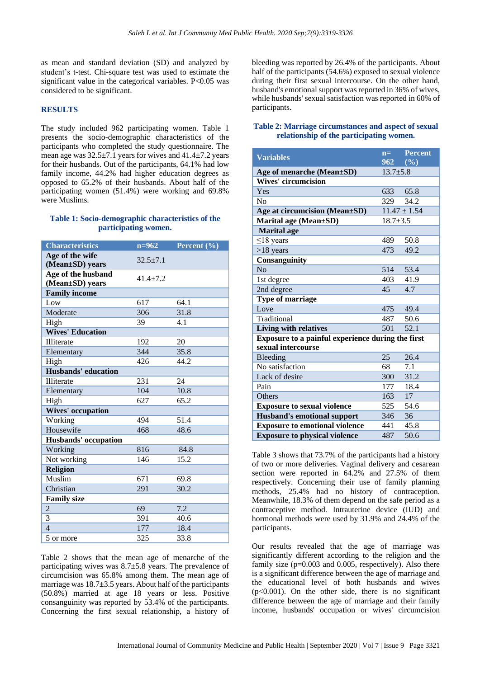as mean and standard deviation (SD) and analyzed by student's t-test. Chi-square test was used to estimate the significant value in the categorical variables. P<0.05 was considered to be significant.

#### **RESULTS**

The study included 962 participating women. Table 1 presents the socio-demographic characteristics of the participants who completed the study questionnaire. The mean age was 32.5±7.1 years for wives and 41.4±7.2 years for their husbands. Out of the participants, 64.1% had low family income, 44.2% had higher education degrees as opposed to 65.2% of their husbands. About half of the participating women (51.4%) were working and 69.8% were Muslims.

#### **Table 1: Socio-demographic characteristics of the participating women.**

| <b>Characteristics</b>                | $n = 962$    | Percent $(\overline{\frac{9}{6}})$ |
|---------------------------------------|--------------|------------------------------------|
| Age of the wife<br>(Mean±SD) years    | $32.5 + 7.1$ |                                    |
| Age of the husband<br>(Mean±SD) years | $41.4 + 7.2$ |                                    |
| <b>Family income</b>                  |              |                                    |
| Low                                   | 617          | 64.1                               |
| Moderate                              | 306          | 31.8                               |
| High                                  | 39           | 4.1                                |
| <b>Wives' Education</b>               |              |                                    |
| Illiterate                            | 192          | 20                                 |
| Elementary                            | 344          | 35.8                               |
| High                                  | 426          | 44.2                               |
| Husbands' education                   |              |                                    |
| <b>Illiterate</b>                     | 231          | 24                                 |
| Elementary                            | 104          | 10.8                               |
| High                                  | 627          | 65.2                               |
| <b>Wives' occupation</b>              |              |                                    |
| Working                               | 494          | 51.4                               |
| Housewife                             | 468          | 48.6                               |
| <b>Husbands'</b> occupation           |              |                                    |
| Working                               | 816          | 84.8                               |
| Not working                           | 146          | 15.2                               |
| <b>Religion</b>                       |              |                                    |
| Muslim                                | 671          | 69.8                               |
| Christian                             | 291          | 30.2                               |
| <b>Family size</b>                    |              |                                    |
| $\overline{2}$                        | 69           | 7.2                                |
| 3                                     | 391          | 40.6                               |
| $\overline{4}$                        | 177          | 18.4                               |
| 5 or more                             | 325          | 33.8                               |

Table 2 shows that the mean age of menarche of the participating wives was 8.7±5.8 years. The prevalence of circumcision was 65.8% among them. The mean age of marriage was  $18.7 \pm 3.5$  years. About half of the participants (50.8%) married at age 18 years or less. Positive consanguinity was reported by 53.4% of the participants. Concerning the first sexual relationship, a history of

bleeding was reported by 26.4% of the participants. About half of the participants (54.6%) exposed to sexual violence during their first sexual intercourse. On the other hand, husband's emotional support was reported in 36% of wives, while husbands' sexual satisfaction was reported in 60% of participants.

#### **Table 2: Marriage circumstances and aspect of sexual relationship of the participating women.**

| <b>Variables</b>                                  | $n = -$        | <b>Percent</b>   |
|---------------------------------------------------|----------------|------------------|
|                                                   | 962            | (%)              |
| Age of menarche (Mean±SD)                         | $13.7 + 5.8$   |                  |
| <b>Wives' circumcision</b>                        |                |                  |
| Yes                                               | 633            | 65.8             |
| N <sub>0</sub>                                    | 329            | 34.2             |
| Age at circumcision (Mean±SD)                     |                | $11.47 \pm 1.54$ |
| Marital age (Mean±SD)                             | $18.7 \pm 3.5$ |                  |
| <b>Marital</b> age                                |                |                  |
| $\leq$ 18 years                                   | 489            | 50.8             |
| $>18$ years                                       | 473            | 49.2             |
| Consanguinity                                     |                |                  |
| No                                                | 514            | 53.4             |
| 1st degree                                        | 403            | 41.9             |
| 2nd degree                                        | 45             | 4.7              |
| <b>Type of marriage</b>                           |                |                  |
| Love                                              | 475            | 49.4             |
| Traditional                                       | 487            | 50.6             |
| <b>Living with relatives</b>                      | 501            | 52.1             |
| Exposure to a painful experience during the first |                |                  |
| sexual intercourse                                |                |                  |
| Bleeding                                          | 25             | 26.4             |
| No satisfaction                                   | 68             | 7.1              |
| Lack of desire                                    | 300            | 31.2             |
| Pain                                              | 177            | 18.4             |
| Others                                            | 163            | 17               |
| <b>Exposure to sexual violence</b>                | 525            | 54.6             |
| <b>Husband's emotional support</b>                | 346            | 36               |
| <b>Exposure to emotional violence</b>             | 441            | 45.8             |
| <b>Exposure to physical violence</b>              | 487            | 50.6             |

Table 3 shows that 73.7% of the participants had a history of two or more deliveries. Vaginal delivery and cesarean section were reported in 64.2% and 27.5% of them respectively. Concerning their use of family planning methods, 25.4% had no history of contraception. Meanwhile, 18.3% of them depend on the safe period as a contraceptive method. Intrauterine device (IUD) and hormonal methods were used by 31.9% and 24.4% of the participants.

Our results revealed that the age of marriage was significantly different according to the religion and the family size (p=0.003 and 0.005, respectively). Also there is a significant difference between the age of marriage and the educational level of both husbands and wives  $(p<0.001)$ . On the other side, there is no significant difference between the age of marriage and their family income, husbands' occupation or wives' circumcision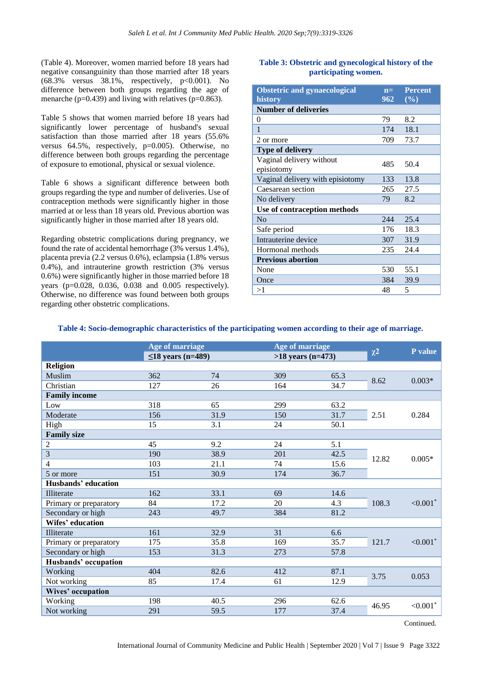(Table 4). Moreover, women married before 18 years had negative consanguinity than those married after 18 years  $(68.3\%$  versus  $38.1\%$ , respectively, p<0.001). No difference between both groups regarding the age of menarche (p=0.439) and living with relatives (p=0.863).

Table 5 shows that women married before 18 years had significantly lower percentage of husband's sexual satisfaction than those married after 18 years (55.6% versus 64.5%, respectively, p=0.005). Otherwise, no difference between both groups regarding the percentage of exposure to emotional, physical or sexual violence.

Table 6 shows a significant difference between both groups regarding the type and number of deliveries. Use of contraception methods were significantly higher in those married at or less than 18 years old. Previous abortion was significantly higher in those married after 18 years old.

Regarding obstetric complications during pregnancy, we found the rate of accidental hemorrhage (3% versus 1.4%), placenta previa (2.2 versus 0.6%), eclampsia (1.8% versus 0.4%), and intrauterine growth restriction (3% versus 0.6%) were significantly higher in those married before 18 years (p=0.028, 0.036, 0.038 and 0.005 respectively). Otherwise, no difference was found between both groups regarding other obstetric complications.

## **Table 3: Obstetric and gynecological history of the participating women.**

| <b>Obstetric and gynaecological</b><br>history | $n=$<br>$962^{\circ}$ | <b>Percent</b><br>$(\%)$ |
|------------------------------------------------|-----------------------|--------------------------|
| <b>Number of deliveries</b>                    |                       |                          |
| 0                                              | 79                    | 8.2                      |
| 1                                              | 174                   | 18.1                     |
| 2 or more                                      | 709                   | 73.7                     |
| <b>Type of delivery</b>                        |                       |                          |
| Vaginal delivery without<br>episiotomy         | 485                   | 50.4                     |
| Vaginal delivery with episiotomy               | 133                   | 13.8                     |
| Caesarean section                              | 265                   | 27.5                     |
| No delivery                                    | 79                    | 8.2                      |
| Use of contraception methods                   |                       |                          |
| No                                             | 244                   | 25.4                     |
| Safe period                                    | 176                   | 18.3                     |
| Intrauterine device                            | 307                   | 31.9                     |
| Hormonal methods                               | 235                   | 24.4                     |
| <b>Previous abortion</b>                       |                       |                          |
| None                                           | 530                   | 55.1                     |
| Once                                           | 384                   | 39.9                     |
| >1                                             | 48                    | 5                        |

## **Table 4: Socio-demographic characteristics of the participating women according to their age of marriage.**

|                        | <b>Age of marriage</b><br>$\leq$ 18 years (n=489) |      | Age of marriage<br>$>18$ years (n=473) |      |          | P value                |
|------------------------|---------------------------------------------------|------|----------------------------------------|------|----------|------------------------|
|                        |                                                   |      |                                        |      | $\chi^2$ |                        |
| <b>Religion</b>        |                                                   |      |                                        |      |          |                        |
| Muslim                 | 362                                               | 74   | 309                                    | 65.3 |          | $0.003*$               |
| Christian              | 127                                               | 26   | 164                                    | 34.7 | 8.62     |                        |
| <b>Family income</b>   |                                                   |      |                                        |      |          |                        |
| Low                    | 318                                               | 65   | 299                                    | 63.2 |          |                        |
| Moderate               | 156                                               | 31.9 | 150                                    | 31.7 | 2.51     | 0.284                  |
| High                   | 15                                                | 3.1  | 24                                     | 50.1 |          |                        |
| <b>Family size</b>     |                                                   |      |                                        |      |          |                        |
| $\overline{2}$         | 45                                                | 9.2  | 24                                     | 5.1  |          | $0.005*$               |
| 3                      | 190                                               | 38.9 | 201                                    | 42.5 | 12.82    |                        |
| $\overline{4}$         | 103                                               | 21.1 | 74                                     | 15.6 |          |                        |
| 5 or more              | 151                                               | 30.9 | 174                                    | 36.7 |          |                        |
| Husbands' education    |                                                   |      |                                        |      |          |                        |
| Illiterate             | 162                                               | 33.1 | 69                                     | 14.6 |          |                        |
| Primary or preparatory | 84                                                | 17.2 | 20                                     | 4.3  | 108.3    | $< 0.001$ *            |
| Secondary or high      | 243                                               | 49.7 | 384                                    | 81.2 |          |                        |
| Wifes' education       |                                                   |      |                                        |      |          |                        |
| Illiterate             | 161                                               | 32.9 | 31                                     | 6.6  |          |                        |
| Primary or preparatory | 175                                               | 35.8 | 169                                    | 35.7 | 121.7    | ${<}0.001*$            |
| Secondary or high      | 153                                               | 31.3 | 273                                    | 57.8 |          |                        |
| Husbands' occupation   |                                                   |      |                                        |      |          |                        |
| Working                | 404                                               | 82.6 | 412                                    | 87.1 | 3.75     | 0.053                  |
| Not working            | 85                                                | 17.4 | 61                                     | 12.9 |          |                        |
| Wives' occupation      |                                                   |      |                                        |      |          |                        |
| Working                | 198                                               | 40.5 | 296                                    | 62.6 | 46.95    | $< 0.001$ <sup>*</sup> |
| Not working            | 291                                               | 59.5 | 177                                    | 37.4 |          |                        |

Continued.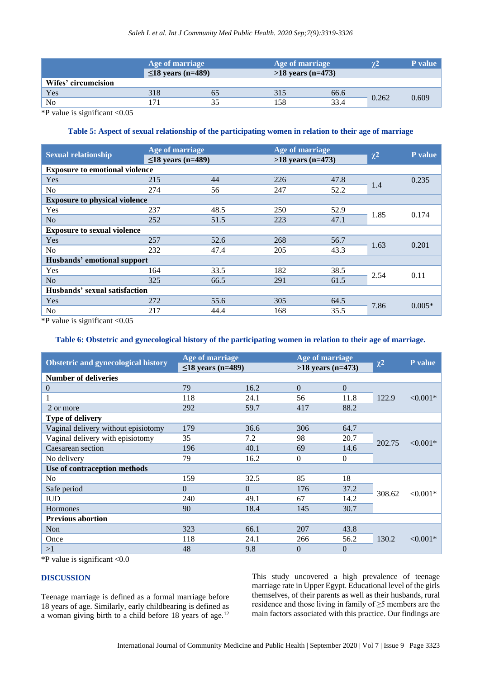|                     | Age of marriage<br>$\leq$ 18 years (n=489) |    |     | Age of marriage<br>$>18$ years (n=473) |       | <b>P</b> value |
|---------------------|--------------------------------------------|----|-----|----------------------------------------|-------|----------------|
| Wifes' circumcision |                                            |    |     |                                        |       |                |
| Yes                 | 318                                        | 63 | 315 | 66.6                                   | 0.262 | 0.609          |
| N <sub>0</sub>      |                                            | 35 | 158 | 33.4                                   |       |                |

\*P value is significant <0.05

## **Table 5: Aspect of sexual relationship of the participating women in relation to their age of marriage**

| <b>Sexual relationship</b>            | Age of marriage         |      | Age of marriage     |      | $\chi^2$ | P value  |
|---------------------------------------|-------------------------|------|---------------------|------|----------|----------|
|                                       | $\leq$ 18 years (n=489) |      | $>18$ years (n=473) |      |          |          |
| <b>Exposure to emotional violence</b> |                         |      |                     |      |          |          |
| Yes                                   | 215                     | 44   | 226                 | 47.8 | 1.4      | 0.235    |
| N <sub>o</sub>                        | 274                     | 56   | 247                 | 52.2 |          |          |
| <b>Exposure to physical violence</b>  |                         |      |                     |      |          |          |
| Yes                                   | 237                     | 48.5 | 250                 | 52.9 | 1.85     | 0.174    |
| No                                    | 252                     | 51.5 | 223                 | 47.1 |          |          |
| <b>Exposure to sexual violence</b>    |                         |      |                     |      |          |          |
| Yes                                   | 257                     | 52.6 | 268                 | 56.7 | 1.63     | 0.201    |
| N <sub>o</sub>                        | 232                     | 47.4 | 205                 | 43.3 |          |          |
| Husbands' emotional support           |                         |      |                     |      |          |          |
| Yes                                   | 164                     | 33.5 | 182                 | 38.5 |          | 0.11     |
| N <sub>o</sub>                        | 325                     | 66.5 | 291                 | 61.5 | 2.54     |          |
| Husbands' sexual satisfaction         |                         |      |                     |      |          |          |
| <b>Yes</b>                            | 272                     | 55.6 | 305                 | 64.5 | 7.86     | $0.005*$ |
| N <sub>0</sub>                        | 217                     | 44.4 | 168                 | 35.5 |          |          |

\*P value is significant <0.05

## **Table 6: Obstetric and gynecological history of the participating women in relation to their age of marriage.**

| <b>Obstetric and gynecological history</b> | Age of marriage         |          | Age of marriage     |                |          | P value    |
|--------------------------------------------|-------------------------|----------|---------------------|----------------|----------|------------|
|                                            | $\leq$ 18 years (n=489) |          | $>18$ years (n=473) |                | $\chi^2$ |            |
| <b>Number of deliveries</b>                |                         |          |                     |                |          |            |
| $\boldsymbol{0}$                           | 79                      | 16.2     | $\overline{0}$      | $\theta$       |          |            |
|                                            | 118                     | 24.1     | 56                  | 11.8           | 122.9    | $< 0.001*$ |
| 2 or more                                  | 292                     | 59.7     | 417                 | 88.2           |          |            |
| <b>Type of delivery</b>                    |                         |          |                     |                |          |            |
| Vaginal delivery without episiotomy        | 179                     | 36.6     | 306                 | 64.7           |          | $< 0.001*$ |
| Vaginal delivery with episiotomy           | 35                      | 7.2      | 98                  | 20.7           | 202.75   |            |
| Caesarean section                          | 196                     | 40.1     | 69                  | 14.6           |          |            |
| No delivery                                | 79                      | 16.2     | $\mathbf{0}$        | $\overline{0}$ |          |            |
| Use of contraception methods               |                         |          |                     |                |          |            |
| No                                         | 159                     | 32.5     | 85                  | 18             |          | $< 0.001*$ |
| Safe period                                | $\Omega$                | $\theta$ | 176                 | 37.2           | 308.62   |            |
| <b>IUD</b>                                 | 240                     | 49.1     | 67                  | 14.2           |          |            |
| Hormones                                   | 90                      | 18.4     | 145                 | 30.7           |          |            |
| <b>Previous abortion</b>                   |                         |          |                     |                |          |            |
| Non                                        | 323                     | 66.1     | 207                 | 43.8           | 130.2    | $< 0.001*$ |
| Once                                       | 118                     | 24.1     | 266                 | 56.2           |          |            |
| >1                                         | 48                      | 9.8      | $\theta$            | $\overline{0}$ |          |            |

\*P value is significant <0.0

## **DISCUSSION**

Teenage marriage is defined as a formal marriage before 18 years of age. Similarly, early childbearing is defined as a woman giving birth to a child before 18 years of age.<sup>12</sup> This study uncovered a high prevalence of teenage marriage rate in Upper Egypt. Educational level of the girls themselves, of their parents as well as their husbands, rural residence and those living in family of ≥5 members are the main factors associated with this practice. Our findings are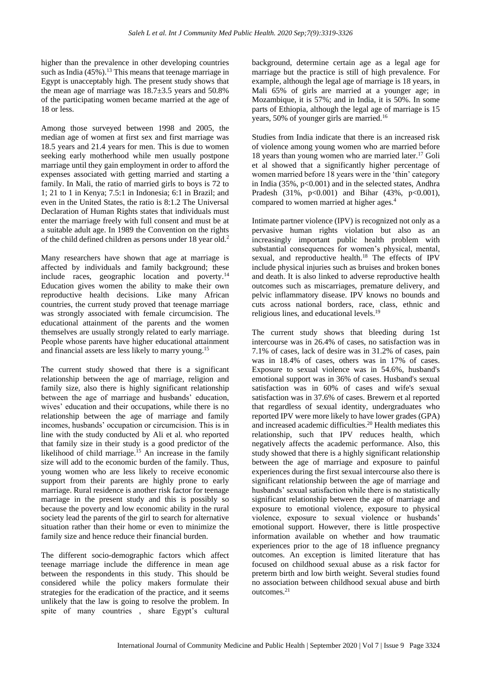higher than the prevalence in other developing countries such as India  $(45\%)$ .<sup>13</sup> This means that teenage marriage in Egypt is unacceptably high. The present study shows that the mean age of marriage was 18.7±3.5 years and 50.8% of the participating women became married at the age of 18 or less.

Among those surveyed between 1998 and 2005, the median age of women at first sex and first marriage was 18.5 years and 21.4 years for men. This is due to women seeking early motherhood while men usually postpone marriage until they gain employment in order to afford the expenses associated with getting married and starting a family. In Mali, the ratio of married girls to boys is 72 to 1; 21 to 1 in Kenya; 7.5:1 in Indonesia; 6:1 in Brazil; and even in the United States, the ratio is 8:1.2 The Universal Declaration of Human Rights states that individuals must enter the marriage freely with full consent and must be at a suitable adult age. In 1989 the Convention on the rights of the child defined children as persons under 18 year old.<sup>2</sup>

Many researchers have shown that age at marriage is affected by individuals and family background; these include races, geographic location and poverty.<sup>14</sup> Education gives women the ability to make their own reproductive health decisions. Like many African countries, the current study proved that teenage marriage was strongly associated with female circumcision. The educational attainment of the parents and the women themselves are usually strongly related to early marriage. People whose parents have higher educational attainment and financial assets are less likely to marry young.<sup>15</sup>

The current study showed that there is a significant relationship between the age of marriage, religion and family size, also there is highly significant relationship between the age of marriage and husbands' education, wives' education and their occupations, while there is no relationship between the age of marriage and family incomes, husbands' occupation or circumcision. This is in line with the study conducted by Ali et al. who reported that family size in their study is a good predictor of the likelihood of child marriage.<sup>15</sup> An increase in the family size will add to the economic burden of the family. Thus, young women who are less likely to receive economic support from their parents are highly prone to early marriage. Rural residence is another risk factor for teenage marriage in the present study and this is possibly so because the poverty and low economic ability in the rural society lead the parents of the girl to search for alternative situation rather than their home or even to minimize the family size and hence reduce their financial burden.

The different socio-demographic factors which affect teenage marriage include the difference in mean age between the respondents in this study. This should be considered while the policy makers formulate their strategies for the eradication of the practice, and it seems unlikely that the law is going to resolve the problem. In spite of many countries , share Egypt's cultural

background, determine certain age as a legal age for marriage but the practice is still of high prevalence. For example, although the legal age of marriage is 18 years, in Mali 65% of girls are married at a younger age; in Mozambique, it is 57%; and in India, it is 50%. In some parts of Ethiopia, although the legal age of marriage is 15 years, 50% of younger girls are married.<sup>16</sup>

Studies from India indicate that there is an increased risk of violence among young women who are married before 18 years than young women who are married later.<sup>17</sup> Goli et al showed that a significantly higher percentage of women married before 18 years were in the 'thin' category in India (35%, p<0.001) and in the selected states, Andhra Pradesh (31%,  $p<0.001$ ) and Bihar (43%,  $p<0.001$ ), compared to women married at higher ages.<sup>4</sup>

Intimate partner violence (IPV) is recognized not only as a pervasive human rights violation but also as an increasingly important public health problem with substantial consequences for women's physical, mental, sexual, and reproductive health.<sup>18</sup> The effects of IPV include physical injuries such as bruises and broken bones and death. It is also linked to adverse reproductive health outcomes such as miscarriages, premature delivery, and pelvic inflammatory disease. IPV knows no bounds and cuts across national borders, race, class, ethnic and religious lines, and educational levels.<sup>19</sup>

The current study shows that bleeding during 1st intercourse was in 26.4% of cases, no satisfaction was in 7.1% of cases, lack of desire was in 31.2% of cases, pain was in 18.4% of cases, others was in 17% of cases. Exposure to sexual violence was in 54.6%, husband's emotional support was in 36% of cases. Husband's sexual satisfaction was in 60% of cases and wife's sexual satisfaction was in 37.6% of cases. Brewern et al reported that regardless of sexual identity, undergraduates who reported IPV were more likely to have lower grades (GPA) and increased academic difficulties.<sup>20</sup> Health mediates this relationship, such that IPV reduces health, which negatively affects the academic performance. Also, this study showed that there is a highly significant relationship between the age of marriage and exposure to painful experiences during the first sexual intercourse also there is significant relationship between the age of marriage and husbands' sexual satisfaction while there is no statistically significant relationship between the age of marriage and exposure to emotional violence, exposure to physical violence, exposure to sexual violence or husbands' emotional support. However, there is little prospective information available on whether and how traumatic experiences prior to the age of 18 influence pregnancy outcomes. An exception is limited literature that has focused on childhood sexual abuse as a risk factor for preterm birth and low birth weight. Several studies found no association between childhood sexual abuse and birth outcomes.21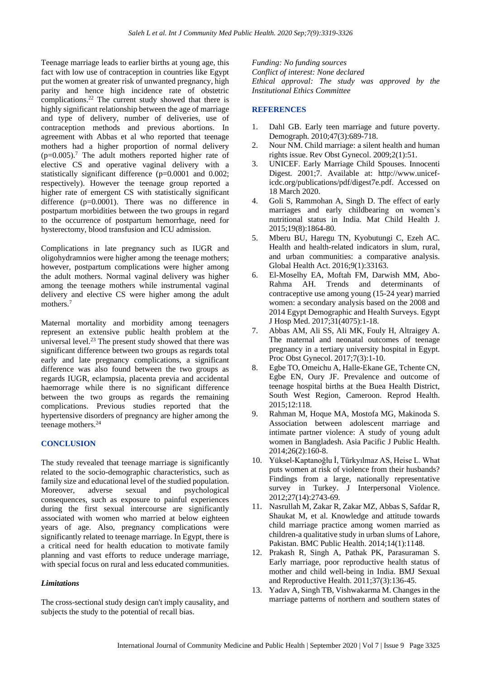Teenage marriage leads to earlier births at young age, this fact with low use of contraception in countries like Egypt put the women at greater risk of unwanted pregnancy, high parity and hence high incidence rate of obstetric complications.<sup>22</sup> The current study showed that there is highly significant relationship between the age of marriage and type of delivery, number of deliveries, use of contraception methods and previous abortions. In agreement with Abbas et al who reported that teenage mothers had a higher proportion of normal delivery  $(p=0.005)$ .<sup>7</sup> The adult mothers reported higher rate of elective CS and operative vaginal delivery with a statistically significant difference (p=0.0001 and 0.002; respectively). However the teenage group reported a higher rate of emergent CS with statistically significant difference (p=0.0001). There was no difference in postpartum morbidities between the two groups in regard to the occurrence of postpartum hemorrhage, need for hysterectomy, blood transfusion and ICU admission.

Complications in late pregnancy such as IUGR and oligohydramnios were higher among the teenage mothers; however, postpartum complications were higher among the adult mothers. Normal vaginal delivery was higher among the teenage mothers while instrumental vaginal delivery and elective CS were higher among the adult mothers.<sup>7</sup>

Maternal mortality and morbidity among teenagers represent an extensive public health problem at the universal level. $^{23}$  The present study showed that there was significant difference between two groups as regards total early and late pregnancy complications, a significant difference was also found between the two groups as regards IUGR, eclampsia, placenta previa and accidental haemorrage while there is no significant difference between the two groups as regards the remaining complications. Previous studies reported that the hypertensive disorders of pregnancy are higher among the teenage mothers.<sup>24</sup>

## **CONCLUSION**

The study revealed that teenage marriage is significantly related to the socio-demographic characteristics, such as family size and educational level of the studied population. Moreover, adverse sexual and psychological consequences, such as exposure to painful experiences during the first sexual intercourse are significantly associated with women who married at below eighteen years of age. Also, pregnancy complications were significantly related to teenage marriage. In Egypt, there is a critical need for health education to motivate family planning and vast efforts to reduce underage marriage, with special focus on rural and less educated communities.

#### *Limitations*

The cross-sectional study design can't imply causality, and subjects the study to the potential of recall bias.

*Funding: No funding sources Conflict of interest: None declared Ethical approval: The study was approved by the Institutional Ethics Committee*

## **REFERENCES**

- 1. Dahl GB. Early teen marriage and future poverty. Demograph. 2010;47(3):689-718.
- 2. Nour NM. Child marriage: a silent health and human rights issue. Rev Obst Gynecol. 2009;2(1):51.
- 3. UNICEF. Early Marriage Child Spouses. Innocenti Digest. 2001;7. Available at: http://www.uniceficdc.org/publications/pdf/digest7e.pdf. Accessed on 18 March 2020.
- 4. Goli S, Rammohan A, Singh D. The effect of early marriages and early childbearing on women's nutritional status in India. Mat Child Health J. 2015;19(8):1864-80.
- 5. Mberu BU, Haregu TN, Kyobutungi C, Ezeh AC. Health and health-related indicators in slum, rural, and urban communities: a comparative analysis. Global Health Act. 2016;9(1):33163.
- 6. El-Moselhy EA, Moftah FM, Darwish MM, Abo-Rahma AH. Trends and determinants of contraceptive use among young (15-24 year) married women: a secondary analysis based on the 2008 and 2014 Egypt Demographic and Health Surveys. Egypt J Hosp Med. 2017;31(4075):1-18.
- 7. Abbas AM, Ali SS, Ali MK, Fouly H, Altraigey A. The maternal and neonatal outcomes of teenage pregnancy in a tertiary university hospital in Egypt. Proc Obst Gynecol. 2017;7(3):1-10.
- 8. Egbe TO, Omeichu A, Halle-Ekane GE, Tchente CN, Egbe EN, Oury JF. Prevalence and outcome of teenage hospital births at the Buea Health District, South West Region, Cameroon. Reprod Health. 2015;12:118.
- 9. Rahman M, Hoque MA, Mostofa MG, Makinoda S. Association between adolescent marriage and intimate partner violence: A study of young adult women in Bangladesh. Asia Pacific J Public Health. 2014;26(2):160-8.
- 10. Yüksel-Kaptanoğlu İ, Türkyılmaz AS, Heise L. What puts women at risk of violence from their husbands? Findings from a large, nationally representative survey in Turkey. J Interpersonal Violence. 2012;27(14):2743-69.
- 11. Nasrullah M, Zakar R, Zakar MZ, Abbas S, Safdar R, Shaukat M, et al. Knowledge and attitude towards child marriage practice among women married as children-a qualitative study in urban slums of Lahore, Pakistan. BMC Public Health. 2014;14(1):1148.
- 12. Prakash R, Singh A, Pathak PK, Parasuraman S. Early marriage, poor reproductive health status of mother and child well-being in India. BMJ Sexual and Reproductive Health. 2011;37(3):136-45.
- 13. Yadav A, Singh TB, Vishwakarma M. Changes in the marriage patterns of northern and southern states of